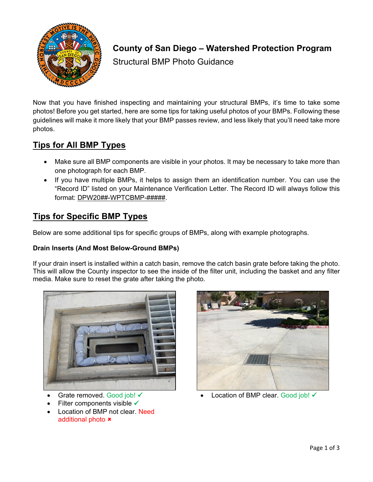

# **County of San Diego – Watershed Protection Program**

Structural BMP Photo Guidance

Now that you have finished inspecting and maintaining your structural BMPs, it's time to take some photos! Before you get started, here are some tips for taking useful photos of your BMPs. Following these guidelines will make it more likely that your BMP passes review, and less likely that you'll need take more photos.

### **Tips for All BMP Types**

- Make sure all BMP components are visible in your photos. It may be necessary to take more than one photograph for each BMP.
- If you have multiple BMPs, it helps to assign them an identification number. You can use the "Record ID" listed on your Maintenance Verification Letter. The Record ID will always follow this format: DPW20##-WPTCBMP-#####.

### **Tips for Specific BMP Types**

Below are some additional tips for specific groups of BMPs, along with example photographs.

### **Drain Inserts (And Most Below-Ground BMPs)**

If your drain insert is installed within a catch basin, remove the catch basin grate before taking the photo. This will allow the County inspector to see the inside of the filter unit, including the basket and any filter media. Make sure to reset the grate after taking the photo.





- Grate removed. Good job! √
- Filter components visible  $\checkmark$
- Location of BMP not clear. Need additional photo **\***
- Location of BMP clear. Good job! ✔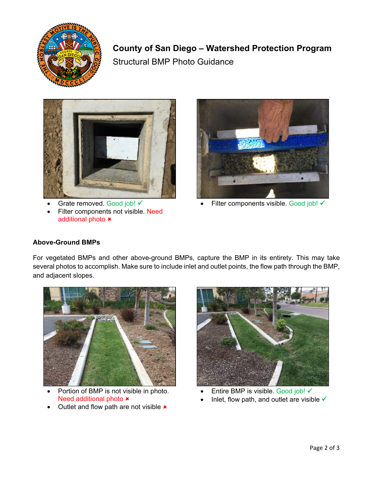

## **County of San Diego – Watershed Protection Program**

Structural BMP Photo Guidance



Grate removed. Good job! √

• Filter components not visible. Need additional photo  $\star$ 



Filter components visible. Good job! √

### **Above-Ground BMPs**

For vegetated BMPs and other above-ground BMPs, capture the BMP in its entirety. This may take several photos to accomplish. Make sure to include inlet and outlet points, the flow path through the BMP, and adjacent slopes.



- Portion of BMP is not visible in photo. Need additional photo  $\ast$
- Outlet and flow path are not visible  $\star$



- Entire BMP is visible. Good job!
- Inlet, flow path, and outlet are visible  $\checkmark$